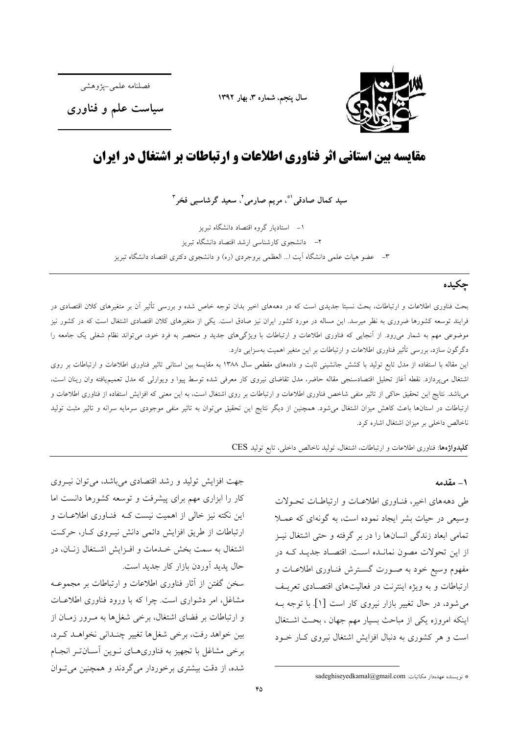

سال پنجم، شماره ٣، بهار ١٣٩٢

فصلنامه علمي-يژوهشم

سیاست علم و فناوری

# مقایسه بین استانی اثر فناوری اطلاعات و ارتباطات بر اشتغال در ایران

سید کمال صادقی<sup>۹</sup>ٌ، مریم صارمی<sup>۲</sup>، سعید گرشاسبی فخر<sup>۳</sup>

۱– استادیار گروه اقتصاد دانشگاه تبریز ٢– دانشجوی کارشناسی ارشد اقتصاد دانشگاه تبریز ٣- عضو هيات علمي دانشگاه آيت ا... العظمى بروجردي (ره) و دانشجوي دكتري اقتصاد دانشگاه تبريز

# جكيده

بحث فناوری اطلاعات و ارتباطات، بحث نسبتا جدیدی است که در دهههای اخیر بدان توجه خاص شده و بررسی تأثیر آن بر متغیرهای کلان اقتصادی در فرایند توسعه کشورها ضروری به نظر میرسد. این مساله در مورد کشور ایران نیز صادق است. یکی از متغیرهای کلان اقتصادی اشتغال است که در کشور نیز موضوعی مهم به شمار می٫ود. از آنجایی که فناوری اطلاعات و ارتباطات با ویژگیهای جدید و منحصر به فرد خود، میٍتواند نظام شغلی یک جامعه را دگرگون سازد، بررسی تأثیر فناوری اطلاعات و ارتباطات بر این متغیر اهمیت بهسزایی دارد.

این مقاله با استفاده از مدل تابع تولید با کشش جانشینی ثابت و دادههای مقطعی سال ۱۳۸۸ به مقایسه بین استانی تاثیر فناوری اطلاعات و ارتباطات بر روی اشتغال مى پردازد. نقطه آغاز تحليل اقتصادسنجى مقاله حاضر، مدل تقاضاى نيروى كار معرفى شده توسط پيوا و ويوارلى كه مدل تعميميافته وان رينان است، می باشد. نتایج این تحقیق حاکی از تاثیر منفی شاخص فناوری اطلاعات و ارتباطات بر روی اشتغال است، به این معنی که افزایش استفاده از فناوری اطلاعات و ارتباطات در استانها باعث كاهش ميزان اشتغال مى شود. همچنين از ديگر نتايج اين تحقيق مى توان به تاثير منفى موجودى سرمايه سرانه و تاثير مثبت توليد ناخالص داخلی بر میزان اشتغال اشاره کرد.

كليدواژهها: فناورى اطلاعات و ارتباطات، اشتغال، توليد ناخالص داخلي، تابع توليد CES

#### ١ – مقدمه

طی دهههای اخیر، فنـاوری اطلاعـات و ارتباطـات تحـولات وسیعی در حیات بشر ایجاد نموده است، به گونهای که عمـلا تمامی ابعاد زندگی انسانها را در بر گرفته و حتی اشتغال نیـز از این تحولات مصون نمانـده اسـت. اقتصـاد جدیـد کـه در .<br>مفهوم وسیع خود به صـورت گسـترش فنـاوری اطلاعـات و ارتباطات و به ویژه اینترنت در فعالیتهای اقتصـادی تعریـف می شود، در حال تغییر بازار نیروی کار است [۱]. با توجه بـه اینکه امروزه یکی از مباحث بسیار مهم جهان ، بحث اشتغال است و هر کشوری به دنبال افزایش اشتغال نیروی کبار خبود

\* نويسنده عهدهدار مكاتبات: sadeghiseyedkamal@gmail.com

جهت افزایش تولید و رشد اقتصادی می باشد، می توان نیبروی کار را ابزاری مهم برای پیشرفت و توسعه کشورها دانست اما این نکته نیز خالی از اهمیت نیست کـه فنـاوری اطلاعـات و ارتباطات از طریق افزایش دائمی دانش نیـروی کـار، حرکـت اشتغال به سمت بخش خـدمات و افـزايش اشـتغال زنـان، در حال پدید آوردن بازار کار جدید است.

سخن گفتن از آثار فناوری اطلاعات و ارتباطات بر مجموعـه مشاغل، امر دشواری است. چرا که با ورود فناوری اطلاعـات و ارتباطات بر فضای اشتغال، برخی شغلها به مـرور زمـان از بین خواهد رفت، برخی شغلها تغییر چنـدانی نخواهـد کـرد، برخی مشاغل با تجهیز به فناوریهای نوین آسان تر انجام شده، از دقت بیشتری برخوردار می گردند و همچنین می توان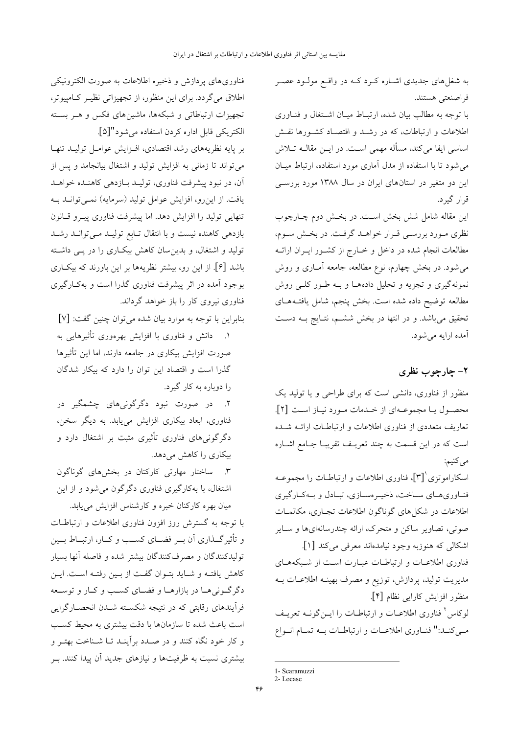به شغلهای جدیدی اشـاره کـرد کــه در واقــع مولــود عصــر فراصنعتي هستند.

با توجه به مطالب بیان شده، ارتباط میـان اشـتغال و فنـاوری اطلاعات و ارتباطات، که در رشـد و اقتصـاد کشـورها نقـش اساسی ایفا می کند، مسأله مهمی است. در ایــن مقالــه تــلاش می شود تا با استفاده از مدل آماری مورد استفاده، ارتباط میـان این دو متغیر در استانهای ایران در سال ۱۳۸۸ مورد بررسبی قرار گیرد.

این مقاله شامل شش بخش است. در بخـش دوم چـارچوب نظری مورد بررسی قـرار خواهـد گرفـت. در بخـش سـوم، مطالعات انجام شده در داخل و خــارج از کشــور ايــران ارائــه میشود. در بخش چهارم، نوع مطالعه، جامعه آمـاری و روش نمونهگیری و تجزیه و تحلیل دادههـا و بـه طـور کلـی روش مطالعه توضيح داده شده است. بخش پنجم، شامل يافتـههـاي تحقیق میباشد. و در انتها در بخش ششم، نتـایج بـه دسـت آمده ارايه مي شود.

# ۲- چارچوب نظری

منظور از فناوری، دانشی است که برای طراحی و یا تولید یک محصول يا مجموعـهاي از خـدمات مـورد نيـاز اسـت [٢]. تعاریف متعددی از فناوری اطلاعات و ارتباطـات ارائــه شــده است که در این قسمت به چند تعریـف تقریبـا جـامع اشـاره مي کنيم:

اسکاراموتزی ْ[۳]. فناوری اطلاعات و ارتباطــات را مجموعــه فنـاوريهـاي سـاخت، ذخيـرهسـازي، تبـادل و بـهكـارگيري اطلاعات در شکلهای گوناگون اطلاعات تجـاری، مکالمـات صوتی، تصاویر ساکن و متحرک، ارائه چندرسانهایها و سـایر اشكالي كه هنوزبه وجود نيامدهاند معرفي مي كند [۱].

فناوری اطلاعـات و ارتباطـات عبـارت اسـت از شـبکههـای مدیریت تولید، پردازش، توزیع و مصرف بهینـه اطلاعـات بــه منظور افزايش كارايي نظام [۴]. لوکاس کفناوری اطلاعـات و ارتباطـات را ایــنگونــه تعریــف مبي كنـد:" فنـاوري اطلاعـات و ارتباطـات بـه تمـام انـواع

فناوری های پردازش و ذخیره اطلاعات به صورت الکترونیکی اطلاق می گردد. برای این منظور، از تجهیزاتی نظیـر کـامپیوتر، تجهیزات ارتباطاتی و شبکهها، ماشینهای فکس و هـر بسـته الكتريكي قابل اداره كردن استفاده مي شود"[۵].

بر پایه نظریههای رشد اقتصادی، افـزایش عوامـل تولیــد تنهـا می تواند تا زمانی به افزایش تولید و اشتغال بیانجامد و پس از آن، در نبود پیشرفت فناوری، تولیـد بـازدهی کاهنـده خواهـد یافت. از این رو، افزایش عوامل تولید (سرمایه) نمـیتوانــد بــه تنهایی تولید را افزایش دهد. اما پیشرفت فناوری پیـرو قـانون بازدهی کاهنده نیست و با انتقال تـابع تولیـد مـیتوانـد رشـد تولید و اشتغال، و بدین سان کاهش بیکـاری را در پــی داشــته باشد [۶]. از این رو، بیشتر نظریهها بر این باورند که بیک|ری بوجود آمده در اثر پیشرفت فناوری گذرا است و بهکـارگیری فناوری نیروی کار را باز خواهد گرداند.

بنابراين با توجه به موارد بيان شده مي توان چنين گفت: [٧] ۱. دانش و فناوری با افزایش بهرهوری تأثیرهایی به صورت افزایش بیکاری در جامعه دارند، اما این تأثیرها گذرا است و اقتصاد این توان را دارد که بیکار شدگان را دوباره به کار گیرد.

۲. در صورت نبود دگرگونیهای چشمگیر در فناوری، ابعاد بیکاری افزایش مییابد. به دیگر سخن، دگرگونیهای فناوری تأثیری مثبت بر اشتغال دارد و بیکاری را کاهش می دهد.

٣. ساختار مهارتی کارکنان در بخشهای گوناگون اشتغال، با بهکارگیری فناوری دگرگون میشود و از این

میان بهره کارکنان خبره و کارشناس افزایش می یابد. با توجه به گسترش روز افزون فناوری اطلاعات و ارتباطـات و تأثیر گــذاری آن بــر فضــای کســب و کــار، ارتبــاط بــین تولیدکنندگان و مصرفکنندگان بیشتر شده و فاصله آنها بسیار كاهش يافتـه و شـايد بتـوان گفـت از بـين رفتـه اسـت. ايـن دگرگونی هـا در بازارهـا و فضـاي كسـب و كـار و توسـعه فرآیندهای رقابتی که در نتیجه شکسته شــدن انحصــارگرایی است باعث شده تا سازمانها با دقت بیشتری به محیط کسب و کار خود نگاه کنند و در صـدد برأینـد تـا شـناخت بهتـر و بیشتری نسبت به ظرفیتها و نیازهای جدید آن پیدا کنند. بـر

<sup>1-</sup> Scaramuzzi

 $2 - I$  ocase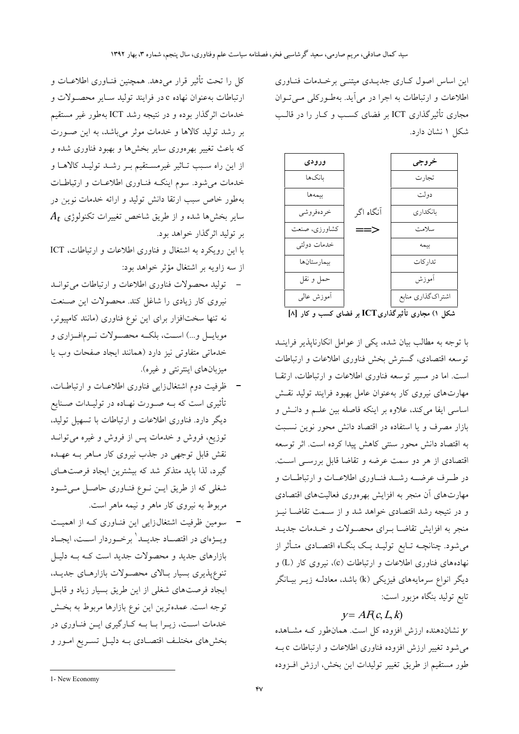این اساس اصول کباری جدیبدی میتنبی برختدمات فنباوری اطلاعات و ارتباطات به اجرا در می آید. بهطورکلی می توان مجاری تأثیر گذاری ICT بر فضای کسب و کـار را در قالـب شکل ۱ نشان دارد.

| ورودى         |               | خروجى              |
|---------------|---------------|--------------------|
| بانكها        |               | تجارت              |
| بيمەھا        |               | دولت               |
| خردهفروشي     | آنگاه اگر     | بانكدار ي          |
| كشاورزي، صنعت | $\Rightarrow$ | سلامت              |
| خدمات دولتى   |               | بيمه               |
| بيمارستانها   |               | تدار كات           |
| حمل و نقل     |               | أموزش              |
| آموزش عالىي   |               | اشتراك گذاري منابع |
|               |               | المنادر المتحدث    |

شکل ۱) مجاری تأثیرگذاریICT بر فضای کسب و کار [۸]

با توجه به مطالب بیان شده، یکی از عوامل انکارنایذیر فراینـد توسعه اقتصادی، گسترش بخش فناوری اطلاعات و ارتباطات است. اما در مسیر توسعه فناوری اطلاعات و ارتباطات، ارتقا مهارتهای نیروی کار بهعنوان عامل بهبود فرایند تولید نقش اساسی ایفا می کند، علاوه بر اینکه فاصله بین علـم و دانـش و بازار مصرف و یا استفاده در اقتصاد دانش محور نوین نسبت به اقتصاد دانش محور سنتي كاهش پيدا كرده است. اثر توسعه اقتصادی از هر دو سمت عرضه و تقاضا قابل بررسمی است. در طـرف عرضــه رشــد فنــاوري اطلاعــات و ارتباطــات و مهارتهای آن منجر به افزایش بهرهوری فعالیتهای اقتصادی و در نتیجه رشد اقتصادی خواهد شد و از سـمت تقاضـا نیـز منجر به افزایش تقاضـا بــرای محصــولات و خــدمات جدیــد می شود. چنانچــه تــابع تولیــد یــک بنگــاه اقتصــادی متــأثر از نهادههای فناوری اطلاعات و ارتباطات (c)، نیروی کار (L) و دیگر انواع سرمایههای فیزیکی (k) باشد، معادلـه زیــر بیــانگر تابع توليد بنگاه مزبور است:

### $y = AF(c, L, k)$

نشاندهنده ارزش افزوده کل است. همانطور کـه مشـاهده  $\boldsymbol{\mathit{y}}$ می شود تغییر ارزش افزوده فناوری اطلاعات و ارتباطات c به طور مستقیم از طریق تغییر تولیدات این بخش، ارزش اف زوده

کل را تحت تأثیر قرار میدهد. همچنین فنـاوری اطلاعــات و ارتباطات به عنوان نهاده c در فرايند توليد سـاير محصـولات و خدمات اثرگذار بوده و در نتیجه رشد ICT بهطور غیر مستقیم بر رشد تولید کالاها و خدمات موثر میباشد، به این صورت که باعث تغییر بهرهوری سایر بخشها و بهبود فناوری شده و از این راه سـبب تــاثیر غیرمســتقیم بــر رشــد تولیــد کالاهــا و خدمات می شود. سوم اینکـه فنـاوری اطلاعـات و ارتباطـات بهطور خاص سبب ارتقا دانش تولید و ارائه خدمات نوین در  $A_t$  سایر بخشها شده و از طریق شاخص تغییرات تکنولوژی بر توليد اثر گذار خواهد بود.

با این رویکرد به اشتغال و فناوری اطلاعات و ارتباطات، ICT از سه زاويه بر اشتغال مؤثر خواهد بود:

- تولید محصولات فناوری اطلاعات و ارتباطات می توانـد نیروی کار زیادی را شاغل کند. محصولات این صنعت نه تنها سختافزار برای این نوع فناوری (مانند کامپیوتر، موبایــل و...) اســت، بلکــه محصــولات نــرمافــزاری و خدماتی متفاوتی نیز دارد (همانند ایجاد صفحات وب یا میزبانهای اینترنتی و غیره).
- ظرفیت دوم اشتغال(ایی فناوری اطلاعـات و ارتباطـات، تأثیری است که بــه صــورت نهــاده در تولیــدات صــنایع دیگر دارد. فناوری اطلاعات و ارتباطات با تسهیل تولید، توزیع، فروش و خدمات پس از فروش و غیره میتوانــد نقش قابل توجهی در جذب نیروی کار مـاهر بــه عهــده گیرد، لذا باید متذکر شد که بیشترین ایجاد فرصتهـای شغلی که از طریق ایـن نـوع فنـاوری حاصـل مـیشـود مربوط به نیروی کار ماهر و نیمه ماهر است.
- سومین ظرفیت اشتغالزایی این فنـاوری کـه از اهمیـت ویسژهای در اقتصـاد جدیــد' برخــوردار اســت، ایجــاد بازارهای جدید و محصولات جدید است کـه بـه دلیـل تنوعپذیری بسیار بالای محصولات بازارهای جدیـد، ایجاد فرصتهای شغلی از این طریق بسیار زیاد و قابـل توجه است. عمده ترین این نوع بازارها مربوط به بخش خدمات است، زیـرا بـا بــه کــارگیری ایــن فنــاوری در بخشهای مختلف اقتصادی بـه دلیـل تسـریع امـور و

<sup>1-</sup> New Economy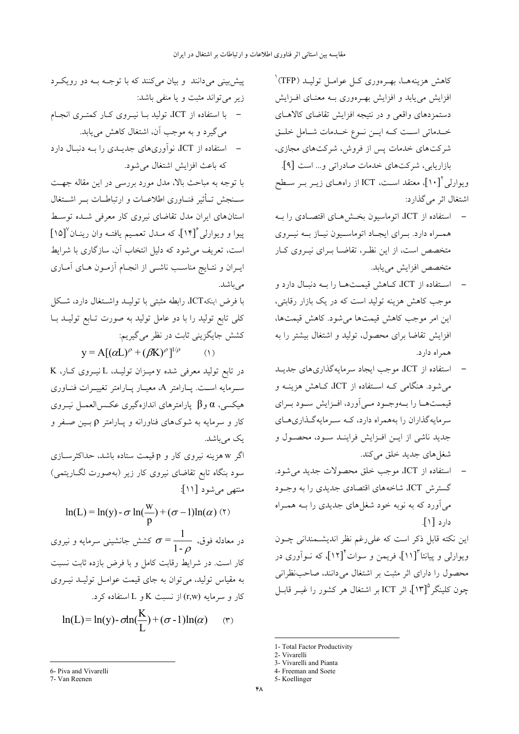کاهش هزینههــا، بهــرهوری کــل عوامــل تولیــد (TFP)` افزایش می یابد و افزایش بهـرهوری بـه معنـای افـزایش دستمزدهای واقعی و در نتیجه افزایش تقاضای کالاهـای خـدماتی اسـت کـه ایـن نـوع خـدمات شـامل خلـق شرکتهای خدمات پس از فروش، شرکتهای مجازی، بازاریابی، شرکتهای خدمات صادراتی و... است [۹].

ویوارلی ْ[۱۰]، معتقد اسـت، ICT از راههـای زیــر بــر ســطح اشتغال اثر مي گذارد:

- استفاده از ICT، اتوماسیون بخش هـای اقتصـادی را بــه همبراه دارد. ببرای ایجباد اتوماسیون نیباز ببه نیبروی متخصص است، از این نظـر، تقاضــا بــرای نیــروی کــار متخصص افزايش مي يابد.
- استفاده از ICT، كـاهش قيمـتهـا را بـه دنبـال دارد و موجب کاهش هزینه تولید است که در یک بازار رقابتی، اين امر موجب كاهش قيمتها مي شود. كاهش قيمتها، افزایش تقاضا برای محصول، تولید و اشتغال بیشتر را به همراه دارد.
- استفاده از ICT، موجب ایجاد سرمایهگذاریهای جدیـد می شود. هنگامی کـه اسـتفاده از ICT، کـاهش هزینــه و قیمــتهــا را بــهوجــود مــىأورد، افــزايش ســود بــراي سرمایهگذاران را بههمراه دارد، کـه سـرمایهگـذاریهـای جدید ناشی از ایـن افـزایش فراینـد سـود، محصـول و شغلهای جدید خلق میکند.
- استفاده از ICT، موجب خلق محصولات جدید می شود. گسترش ICT، شاخههای اقتصادی جدیدی را به وجـود می آورد که به نوبه خود شغلهای جدیدی را بـه همـراه دارد [۱].

این نکته قابل ذکر است که علی رغم نظر اندیشمندانی چـون ویوارل<sub>ی</sub> و پیانتا <sup>"</sup>[۱۱]، فریمن و سوات ٔ<sup>\*</sup>[۱۲]، که نــواَوری در محصول را دارای اثر مثبت بر اشتغال میدانند، صاحب نظرانی چون کلینگر ۱۳]°، اثر ICT بر اشتغال هر کشور را غیــر قابــل

- 1- Total Factor Productivity
- 2- Vivarelli
- 3- Vivarelli and Pianta 4- Freeman and Soete

پیش بینی میدانند و بیان میکنند که با توجـه بـه دو رویکـرد زیر می تواند مثبت و یا منفی باشد:

- با استفاده از ICT، تولید بـا نیـروی کـار کمتـری انجـام می گیرد و به موجب آن، اشتغال کاهش می یابد.
- استفاده از ICT، نوآوریهای جدیـدی را بـه دنبـال دارد كه باعث افزايش اشتغال مي شود.

با توجه به مباحث بالا، مدل مورد بررسی در این مقاله جهت ســنجش تــأثير فنــاورى اطلاعــات و ارتباطــات بــر اشــتغال استانهای ایران مدل تقاضای نیروی کار معرفی شـده توسـط ییوا و ویوارلی ۱۴ آ) که مـدل تعمـیم یافتـه وان رینـان (۱۵] است، تعریف میشود که دلیل انتخاب آن، سازگاری با شرایط ایــران و نتــایج مناســب ناشــی از انجــام آزمــون هــای آمــاری مے باشد.

با فرض اينكهICT، رابطه مثبتي با توليــد واشــتغال دارد، شــكل کلی تابع تولید را با دو عامل تولید به صورت تـابع تولیــد بــا كشش جايگزيني ثابت در نظر مي گيريم:

 $y = A[(\alpha L)^{\rho} + (\beta K)^{\rho}]^{1/\rho}$  (1)

در تابع تولید معرفی شده y میـزان تولیـد، L نیـروی کـار، K سب مایه است. پیارامتر A، معییار پیارامتر تغییبرات فنیاوری هیکسی،  $\alpha$  و $\beta$  پارامترهای اندازهگیری عکس(لعمــل نیــروی کار و سرمایه به شوکهای فناورانه و پـارامتر p بـین صـفر و یک می باشد.

اگر w هزینه نیروی کار و p قیمت ستاده باشد، حداکثرسازی سود بنگاه تابع تقاضای نیروی کار زیر (بهصورت لگــاریتمی) منتهى مى شود [١١]:

 $\ln(L) = \ln(y) - \sigma \ln(\frac{w}{n}) + (\sigma - 1)\ln(\alpha)$  (۲) در معادله فوق،  $\sigma = \frac{1}{1-\sigma}$  کشش جانشینی سرمایه و نیروی

کار است. در شرایط رقابت کامل و با فرض بازده ثابت نسبت به مقیاس تولید، می توان به جای قیمت عوامـل تولیــد نیــروی کار و سرمایه  $(\mathbf{r},\mathbf{w})$  از نسبت  $\mathbf{K}$  و  $\mathbf{L}$  استفاده کرد.

$$
\ln(L) = \ln(y) - \sigma \ln(\frac{K}{L}) + (\sigma - 1)\ln(\alpha) \qquad (\tau)
$$

6- Piva and Vivarelli

<sup>5-</sup> Koellinger

<sup>7.</sup> Van Reenen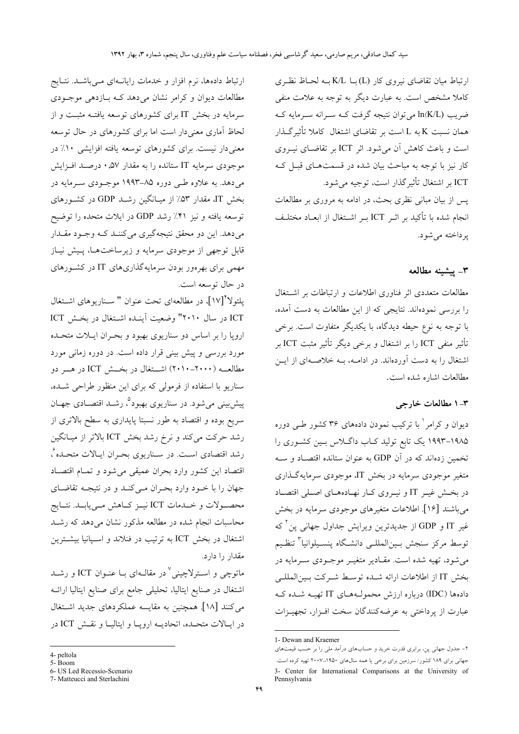ارتباط میان تقاضای نیروی کار (L)با K/L بـه لحـاظ نظـری کاملا مشخص است. به عبارت دیگر به توجه به علامت منفی ضريب (In(K/L مي توان نتيجه گرفت كــه ســرانه ســرمايه كــه همان نسبت K به L است بر تقاضای اشتغال کاملا تأثیر گـذار است و باعث کاهش آن می شود. اثر ICT بر تقاضـای نیـروی کار نیز با توجه به مباحث بیان شده در قسمتهای قبـل کـه ICT بر اشتغال تأثير گذار است، توجيه مي شود. پس از بیان مبانی نظری بحث، در ادامه به مروری بر مطالعات

انجام شده با تأکید بر اثـر ICT بـر اشـتغال از ابعــاد مختلـف یر داخته می شو د.

## ٣- ييشينه مطالعه

مطالعات متعددی اثر فناوری اطلاعات و ارتباطات بر اشتغال را بررسی نمودهاند. نتایجی که از این مطالعات به دست آمده، با توجه به نوع حیطه دیدگاه، با یکدیگر متفاوت است. برخی تأثیر منفی ICT را بر اشتغال و برخی دیگر تأثیر مثبت ICT بر اشتغال را به دست آوردهاند. در ادامــه، بــه خلاصــهای از ایــن مطالعات اشاره شده است.

### ۳- ۱ مطالعات خارجي

دیوان و کرامر <sup>۱</sup> با ترکیب نمودن دادههای ۳۶ کشور طبی دوره ۱۹۸۵–۱۹۹۳ یک تابع تولید کـاب داگـلاس بـین کشـوری را تخمین زدهاند که در آن GDP به عنوان ستانده اقتصـاد و ســه متغیر موجودی سرمایه در بخش IT، موجودی سرمایهگذاری در بخش غیـر IT و نیـروی کـار نهـادههـای اصـلی اقتصـاد می باشند [۱۶]. اطلاعات متغیرهای موجودی سرمایه در بخش غیر IT و GDP از جدیدترین ویرایش جداول جهانی پن که توسط مركز سنجش بـينالمللـي دانشـگاه پنسـيلوانيا<sup>۳</sup> تنظـيم مي شود، تهيه شده است. مقـادير متغيـر موجـودي سـرمايه در بخش IT از اطلاعات ارائه شـده توسـط شـركت بـينالمللـي دادهها (IDC) درباره ارزش محمول هاي IT تهيــه شــده كــه عبارت از پرداختی به عرضهکنندگان سخت افـزار، تجهیـزات

ارتباط دادهها، نرم افزار و خدمات رایانهای مـیباشـد. نتـایج مطالعات دیوان و کرامر نشان می دهد کـه بـازدهی موجـودی سرمایه در بخش IT برای کشورهای توسعه یافتـه مثبـت و از لحاظ آماری معنی دار است اما برای کشورهای در حال توسعه معنی دار نیست. برای کشورهای توسعه یافته افزایشی ۱۰٪ در موجودی سرمایه IT ستانده را به مقدار ۰٫۵۷ درصـد افـزایش میدهد. به علاوه طـی دوره ۸۵–۱۹۹۳ موجـودی سـرمایه در بخش IT، مقدار ۵۳٪ از میـانگین رشـد GDP در کشـورهای توسعه یافته و نیز ۴۱٪ رشد GDP در ایلات متحده را توضیح مي دهد. اين دو محقق نتيجهگيري مي كننـد كــه وجــود مقــدار قابل توجهی از موجودی سرمایه و زیرساختها، پیش نیاز مهمی برای بهرهور بودن سرمایهگذاریهای IT در کشورهای در حال توسعه است.

يلتولاً [١٧]، در مطالعهاي تحت عنوان " سـناريوهاي اشـتغال ICT در سال ۲۰۱۰" وضعیت آینده اشتغال در بخش ICT اروپا را بر اساس دو سناریوی بهبود و بحران ایلات متحده مورد بررسی و پیش بینی قرار داده است. در دوره زمانی مورد مطالعــه (٢٠٠٠-٢٠١٠) اشــتغال در بخــش ICT در هـــر دو سناریو با استفاده از فرمولی که برای این منظور طراحی شـده، پیش بینی میشود. در سناریوی بهبود°، رشــد اقتصــادی جهــان سریع بوده و اقتصاد به طور نسبتا پایداری به سطح بالاتری از رشد حرکت میکند و نرخ رشد بخش ICT بالاتر از میـانگین رشد اقتصادی است. در سـناریوی بحـران ایـالات متحـده ٔ، اقتصاد این کشور وارد بحران عمیقی میشود و تمـام اقتصـاد جهان را با خود وارد بحران مـیکنـد و در نتیجـه تقاضـای محصـولات و خــدمات ICT نيــز كــاهش مــييابــد. نتــايج محاسبات انجام شده در مطالعه مذکور نشان می۵هد که رشـد اشتغال در بخش ICT به ترتیب در فنلاند و اسـیانیا بیشــترین مقدار را دارد.

ماتوچی و اســترلاچینی<sup>٬</sup> در مقالــهای بــا عنــوان ICT و رشــد اشتغال در صنایع ایتالیا، تحلیلی جامع برای صنایع ایتالیا ارائــه می کنند [۱۸]. همچنین به مقایسه عملکردهای جدید اشتغال در ايـالات متحـده، اتحاديــه ارويــا و ايتاليــا و نقــش ICT در

<sup>1-</sup> Dewan and Kraemer

۲– جدول جهانی پن، برابری قدرت خرید و حسابهای درآمد ملی را بر حسب قیمتهای جهانی برای ۱۸۹ کشور/ سرزمین برای برخی یا همه سالهای ۱۹۵۰–۲۰۰۷ تهیه کرده است. 3- Center for International Comparisons at the University of Pennsylvania

<sup>4-</sup> peltola

<sup>5-</sup>Boom

<sup>6-</sup> US Led Recessio-Scenario

<sup>7-</sup> Matteucci and Sterlachini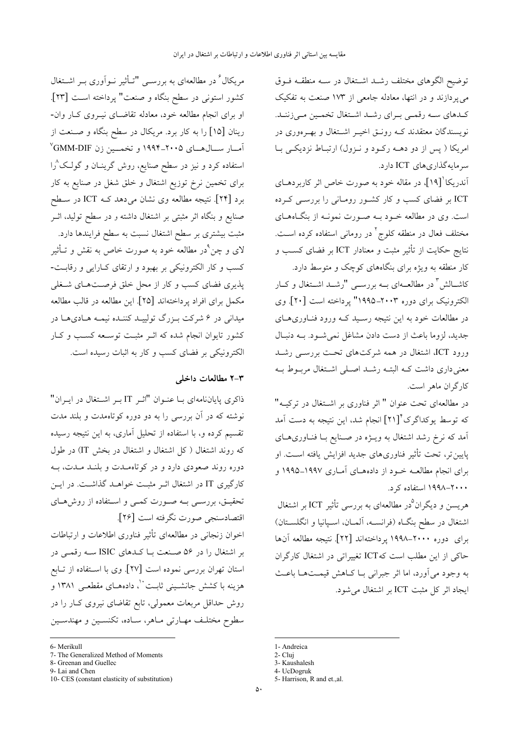توضيح الگوهاى مختلف رشد اشتغال در سـه منطقـه فـوق می پردازند و در انتها، معادله جامعی از ۱۷۳ صنعت به تفکیک كـدهاي سـه رقمـي بـراي رشـد اشـتغال تخمـين مـيزننـد. نویسندگان معتقدند کـه رونـق اخیـر اشـتغال و بهـرهوری در امریکا ( پس از دو دهــه رکــود و نــزول) ارتبــاط نزدیکــی بــا سرمايه گذاري هاي ICT دارد.

آندریکا '[۱۹]، در مقاله خود به صورت خاص اثر کاربردهــای ICT بر فضای کسب و کار کشـور رومـانی را بررسـی کـرده است. وی در مطالعه خــود بــه صــورت نمونــه از بنگــاههــای مختلف فعال در منطقه کلوج<sup>٬</sup> در رومان<sub>ی</sub> استفاده کرده اسـت. نتایج حکایت از تأثیر مثبت و معنادار ICT بر فضای کسب و کار منطقه به ویژه برای بنگاههای کوچک و متوسط دارد.

کاشــالش ٌ در مطالعــهای بــه بررســی "رشــد اشــتغال و کــار الكترونيك براي دوره ٢٠٠٣–١٩٩۵" پرداخته است [٢٠]. وي در مطالعات خود به این نتیجه رسـید کــه ورود فنــاوریهــای جدید، لزوما باعث از دست دادن مشاغل نمی شود. بـه دنبـال ورود ICT، اشتغال در همه شركتهاى تحت بررسـى رشـد معنی داری داشت کـه البتـه رشـد اصـلی اشـتغال مربـوط بـه كارگران ماهر است.

در مطالعهای تحت عنوان " اثر فناوری بر اشتغال در ترکیـه" که توسط یوکداگرک ٔ<sup>۴</sup>[۲۱] انجام شد، این نتیجه به دست آمد اَمد که نرخ رشد اشتغال به ویــژه در صــنایع بــا فنــاوریهــای پایین تر، تحت تأثیر فناوریهای جدید افزایش یافته اسـت. او برای انجام مطالعــه خــود از دادههــای آمــاری ۱۹۹۷–۱۹۹۵ و ۲۰۰۰–۱۹۹۸ استفاده کرد.

هریسن و دیگران°در مطالعهای به بررسی تأثیر ICT بر اشتغال اشتغال در سطح بنگـاه (فرانســه، ألمــان، اسـپانيا و انگلســتان) برای دوره ۲۰۰۰–۱۹۹۸ پرداختهاند [۲۲]. نتیجه مطالعه آنها حاکی از این مطلب است که ICT تغییراتی در اشتغال کارگران به وجود می آورد، اما اثر جبرانی بـا کــاهش قیمــتهــا باعــث ايجاد اثر كل مثبت ICT بر اشتغال مي شود.

1. Andreica

4- UcDogruk

مریکال<sup>۶</sup> در مطالعهای به بررســی "تــأثیر نــواَوری بــر اشــتغال كشور استونى در سطح بنگاه و صنعت" پرداخته اســت [۲۳]. او برای انجام مطالعه خود، معادله تقاضـای نیــروی کــار وان-رینان [۱۵] را به کار برد. مریکال در سطح بنگاه و صنعت از اًمــار ســالهــاي ۲۰۰۵-۱۹۹۴ و تخمــين زن GMM-DIF استفاده کرد و نیز در سطح صنایع، روش گرینـان و گولـک^را برای تخمین نرخ توزیع اشتغال و خلق شغل در صنایع به کار برد [۲۴]. نتیجه مطالعه وی نشان میدهد کـه ICT در سـطح صنایع و بنگاه اثر مثبتی بر اشتغال داشته و در سطح تولید، اثــر مثبت بیشتری بر سطح اشتغال نسبت به سطح فرایندها دارد. لای و چن ْدر مطالعه خود به صورت خاص به نقش و تـأثیر کسب و کار الکترونیکی بر بهبود و ارتقای کـارایی و رقابـت-پذیری فضای کسب و کار از محل خلق فرصـتهـای شـغلی مکمل برای افراد پرداختهاند [۲۵]. این مطالعه در قالب مطالعه میدانی در ۶ شرکت بـزرگ تولیپـد کننـده نیمـه هـادیهـا در کشور تایوان انجام شده که اثـر مثبـت توسـعه کسـب و کـار الکترونیکی بر فضای کسب و کار به اثبات رسیده است.

#### ۲-۲ مطالعات داخلی

ذاکری پایاننامهای بـا عنـوان "اثـر IT بـر اشـتغال در ایـران" نوشته که در آن بررسی را به دو دوره کوتاهمدت و بلند مدت تقسیم کرده و، با استفاده از تحلیل آماری، به این نتیجه رسیده که روند اشتغال ( کل اشتغال و اشتغال در بخش IT) در طول دوره روند صعودی دارد و در کوتاهمـدت و بلنـد مـدت، بــه کارگیری IT در اشتغال اثـر مثبـت خواهـد گذاشـت. در ایـن تحقیـق، بررسـی بـه صـورت کمـی و اسـتفاده از روشهـای اقتصادسنجي صورت نگرفته است [۲۶].

اخوان زنجانی در مطالعهای تأثیر فناوری اطلاعات و ارتباطات بر اشتغال را در ۵۶ صنعت بـا کـدهای ISIC سـه رقمـی در استان تهران بررسی نموده است [۲۷]. وی با اسـتفاده از تــابع هزینه با کشش جانشـینی ثابـت``، دادههــای مقطعــی ۱۳۸۱ و روش حداقل مربعات معمولی، تابع تقاضای نیروی کـار را در سطوح مختلـف مهـارتي مـاهر، سـاده، تكنسـين و مهندسـين

<sup>2-</sup> Cluj 3- Kaushalesh

<sup>5-</sup> Harrison, R and et.,al.

<sup>6.</sup> Merikull

<sup>7-</sup> The Generalized Method of Moments

<sup>8-</sup> Greenan and Guellec

<sup>9-</sup> Lai and Chen

<sup>10-</sup> CES (constant elasticity of substitution)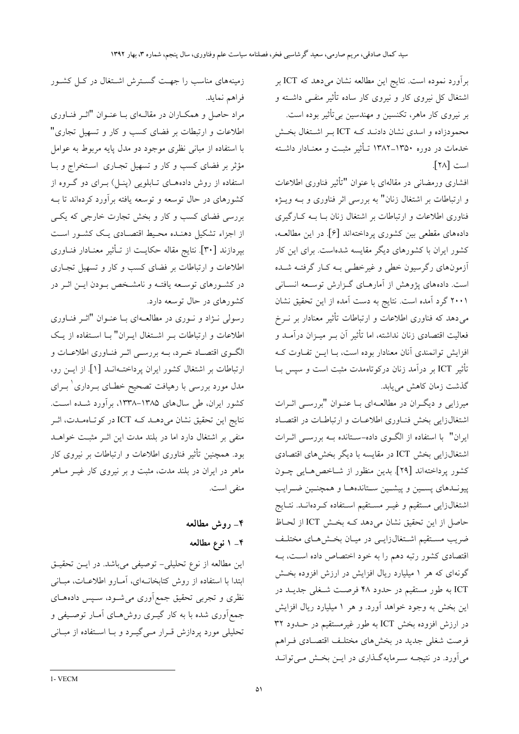برآورد نموده است. نتایج این مطالعه نشان میدهد که ICT بر اشتغال کل نیروی کار و نیروی کار ساده تأثیر منفـی داشــته و بر نیروی کار ماهر، تکنسین و مهندسین بی تأثیر بوده است. محمودزاده و اسدی نشان دادنــد کــه ICT بــر اشــتغال بخــش خدمات در دوره ۱۳۵۰–۱۳۸۲ تــأثیر مثبــت و معنــادار داشــته است [٢٨].

افشاری ورمضانی در مقالهای با عنوان "تأثیر فناوری اطلاعات و ارتباطات بر اشتغال زنان" به بررسی اثر فناوری و بـه ویـژه فناوری اطلاعات و ارتباطات بر اشتغال زنان بــا بــه کــارگیری دادههای مقطعی بین کشوری یرداختهاند [۶]. در این مطالعـه، کشور ایران با کشورهای دیگر مقایسه شدهاست. برای این کار آزمونهای رگرسیون خطی و غیرخطـی بـه کـار گرفتـه شـده است. دادههای پژوهش از آمارهـای گـزارش توسـعه انســانی ۲۰۰۱ گرد آمده است. نتایج به دست آمده از این تحقیق نشان می دهد که فناوری اطلاعات و ارتباطات تأثیر معنادار بر نــرخ فعالیت اقتصادی زنان نداشته، اما تأثیر آن بـر میــزان درآمــد و افزایش توانمندی آنان معنادار بوده است، بـا ایــن تفـاوت کــه تأثیر ICT بر درآمد زنان درکوتاهمدت مثبت است و سیس بـا گذشت زمان كاهش مى يابد.

میرزایی و دیگـران در مطالعـهای بـا عنـوان "بررسـی اثـرات اشتغالزایی بخش فنـاوری اطلاعـات و ارتباطـات در اقتصـاد ایران" با استفاده از الگـوی داده-سـتانده بــه بررســی اثــرات اشتغالزایی بخش ICT در مقایسه با دیگر بخشهای اقتصادی كشور پرداختهاند [٢٩]. بدين منظور از شـاخص هـايي چـون پیونــدهای پســین و پیشــین ســتاندههــا و همچنــین ضــرایب اشتغالزایی مستقیم و غیــر مســتقیم اســتفاده کــردهانــد. نتــایج حاصل از این تحقیق نشان میدهد کـه بخـش ICT از لحـاظ ضریب مستقیم اشتغالزایمی در میـان بخـش۵ـای مختلـف اقتصادی کشور رتبه دهم را به خود اختصاص داده است، بـه گونهای که هر ۱ میلیارد ریال افزایش در ارزش افزوده بخش ICT به طور مستقیم در حدود ۴۸ فرصـت شـغلی جدیــد در این بخش به وجود خواهد آورد. و هر ۱ میلیارد ریال افزایش در ارزش افزوده بخش ICT به طور غیرمستقیم در حــدود ۳۲ فرصت شغلی جدید در بخشهای مختلف اقتصادی فـراهم می آورد. در نتیجـه سـرمایهگـذاری در ایــن بخـش مــی توانــد

زمینههای مناسب را جهت گسترش اشتغال در کل کشور فراهم نمايد.

مراد حاصل و همکـاران در مقالـهای بـا عنـوان "اثـر فنـاوری اطلاعات و ارتبطات بر فضای کسب و کار و تسهیل تجاری" با استفاده از مبانی نظری موجود دو مدل پایه مربوط به عوامل مؤثر بر فضای کسب و کار و تسهیل تجـاری اسـتخراج و بـا استفاده از روش دادههای تـابلویی (پنـل) بـرای دو گـروه از کشورهای در حال توسعه و توسعه یافته برآورد کردهاند تا ب بررسی فضای کسب و کار و بخش تجارت خارجی که یکـی از اجزاء تشکیل دهنـده محـیط اقتصـادی یـک کشـور اسـت بيردازند [٣٠]. نتايج مقاله حكايـت از تـأثير معنـادار فنــاوري اطلاعات و ارتباطات بر فضای کسب و کار و تسهیل تجـاری در کشـورهای توسـعه یافتـه و نامشـخص بـودن ایــن اثــر در کشورهای در حال توسعه دارد.

رسولي نـژاد و نـوري در مطالعـهاي بـا عنـوان "اثـر فنـاوري اطلاعات و ارتباطات بـر اشـتغال ايـران" بـا اسـتفاده از يـك الگوی اقتصاد خـرد، بـه بررسـی اثـر فنـاوری اطلاعـات و ارتباطات بر اشتغال کشور ایران پرداختـهانـد [۱]. از ایــن رو، مدل مورد بررسی با رهیافت تصحیح خطـای بــرداری ٰ بــرای کشور ایران، طی سالهای ۱۳۸۵–۱۳۳۸، برآورد شده است. نتايج اين تحقيق نشان ميدهـد كــه ICT در كوتـاهمـدت، اثـر منفی بر اشتغال دارد اما در بلند مدت این اثـر مثبـت خواهــد بود. همچنین تأثیر فناوری اطلاعات و ارتباطات بر نیروی کار ماهر در ایران در بلند مدت، مثبت و بر نیروی کار غیــر مــاهر منفي است.

> ۴\_ روش مطالعه ۴\_ ۱ نوع مطالعه

این مطالعه از نوع تحلیلی– توصیفی میباشد. در ایــن تحقیــق ابتدا با استفاده از روش كتابخانهاى، آمارو اطلاعات، مبانى نظری و تجربی تحقیق جمع اَوری میشود، سـپس دادههـای جمع آوری شده با به کار گیــری روشهــای آمــار توصــیفی و تحلیلی مورد پردازش قــرار مــیگیــرد و بــا اســتفاده از مبــانـی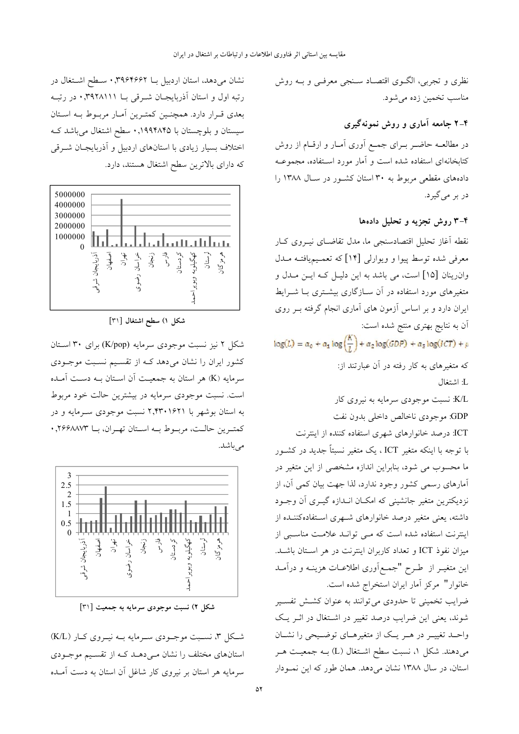نظري و تجربي، الگـوي اقتصـاد سـنجي معرفـي و بـه روش مناسب تخمين زده مي شود.

### ۴–۲ جامعه آماری و روش نمونهگیری

در مطالعــه حاضــر بــرای جمــع آوری آمــار و ارقــام از روش کتابخانهای استفاده شده است و آمار مورد استفاده، مجموعـه دادههای مقطعی مربوط به ۳۰ استان کشور در سال ۱۳۸۸ را در بر می گیرد.

#### ۴–۳ روش تجزیه و تحلیل دادهها

نقطه آغاز تحلیل اقتصادسنجی ما، مدل تقاضای نیـروی کـار معرفی شده توسط پیوا و ویوارلی [۱۴] که تعمـیمیافتـه مــدل وان رینان [۱۵] است، می باشد به این دلیـل کـه ایـن مـدل و متغیرهای مورد استفاده در آن سـازگاری بیشــتری بــا شــرایط ایران دارد و بر اساس آزمون های آماری انجام گرفته بـر روی آن به نتایج بهتری منتج شده است:  $log(L) = \alpha_0 + \alpha_1 log(\frac{\Lambda}{L}) + \alpha_2 log(GDP) + \alpha_3 log(ICT) + \mu$ که متغیرهای به کار رفته در آن عبارتند از: L: اشتغال K/L: نسبت موجودي سرمايه به نيروي كار GDP: موجودي ناخالص داخلي بدون نفت ICT: درصد خانوارهای شهری استفاده کننده از اینترنت با توجه با اینکه متغیر ICT ، یک متغیر نسبتاً جدید در کشـور ما محسوب می شود، بنابراین اندازه مشخصی از این متغیر در آمارهای رسمی کشور وجود ندارد، لذا جهت بیان کمی آن، از نزدیکترین متغیر جانشینی که امکـان انـدازه گیــری آن وجــود داشته، یعنی متغیر درصد خانوارهای شـهری اسـتفادهکننـده از اینترنت استفاده شده است که مـی توانـد علامـت مناسـبی از میزان نفوذ ICT و تعداد کاربران اینترنت در هر استان باشـد. این متغیـر از طـرح "جمـع|َوری اطلاعـات هزینــه و دراَمــد خانوار" مركز آمار ايران استخراج شده است.

ضرایب تخمینی تا حدودی می توانند به عنوان کشــش تفســیر شوند، یعنی این ضرایب درصد تغییر در اشتغال در اثـر یـک واحـد تغییـر در هـر یـک از متغیرهـای توضـیحی را نشـان میدهند. شکل ۱، نسبت سطح اشـتغال (L) بــه جمعیــت هــر استان، در سال ۱۳۸۸ نشان میدهد. همان طور که این نمودار

نشان میدهد، استان اردبیل بــا ۰٫۳۹۶۴۶۶۲ سـطح اشـتغال در رتبه اول و استان آذربایجان شرقی با ۰٫۳۹۲۸۱۱۱ در رتبه بعدی قـرار دارد. همچنـین کمتـرین آمـار مربـوط بـه اسـتان سیستان و بلوچستان با ۱۹۹۴۸۴۵٫۰ سطح اشتغال میباشد ک اختلاف بسیار زیادی با استانهای اردبیل و آذربایجـان شـرقی که دارای بالاترین سطح اشتغال هستند، دارد.



شكل ١) سطح اشتغال [٣١]

شکل ۲ نیز نسبت موجودی سرمایه (K/pop) برای ۳۰ استان کشور ایران را نشان می دهد کـه از تقسـیم نسـبت موجـودی سرمایه (K) هر استان به جمعیت آن اسـتان بـه دسـت آمـده است. نسبت موجودي سرمايه در بيشترين حالت خود مربوط به استان بوشهر با ۲٬۴۳۰۱۶۲۱ نسبت موجودی سـرمایه و در كمتـرين حالـت، مربـوط بــه اسـتان تهـران، بــا ٢۶۶۸٨٧٣, • مى باشد.



شکل ۲) نسبت موجودی سرمایه به جمعیت [۳۱]

شکل ۳، نسـبت موجـودي سـرمايه بــه نيــروي کــار (K/L) استانهای مختلف را نشان م<sub>حی</sub>دهـد کـه از تقسـیم موجـودی سرمایه هر استان بر نیروی کار شاغل آن استان به دست آمـده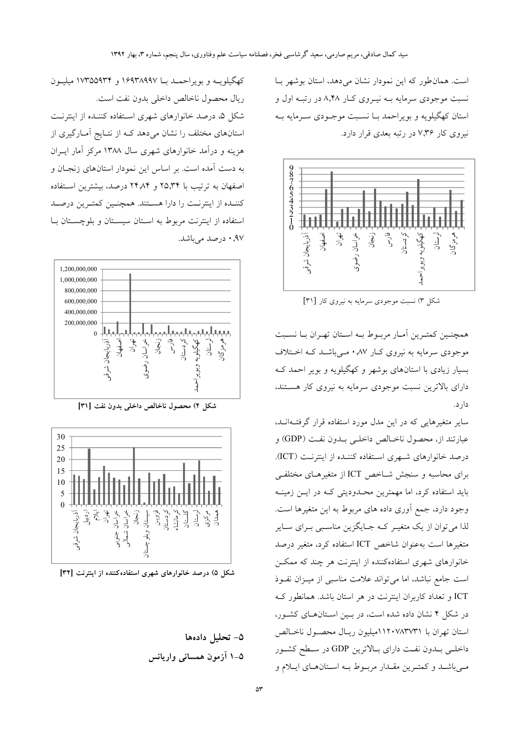است. همان طور که این نمودار نشان می دهد، استان بوشهر با نسبت موجودي سرمايه بــه نيــروي كــار ٨,۴۸ در رتبــه اول و استان کهگیلویه و بویراحمد بــا نســبت موجــودی ســرمایه بــه نیروی کار ۷٫۳۶ در رتبه بعدی قرار دارد.



شکل ۳) نسبت موجودی سرمایه به نیروی کار [۳۱]

همچنـین کمتـرین أمـار مربـوط بـه اسـتان تهـران بـا نسـبت موجودی سرمایه به نیروی کـار ۸۷٫ مـیباشــد کــه اخــتلاف بسیار زیادی با استانهای بوشهر و کهگیلویه و بویر احمد کـه دارای بالاترین نسبت موجودی سرمایه به نیروی کار هستند، دار د.

سایر متغیرهایی که در این مدل مورد استفاده قرار گرفتـهانــد، عبارتند از، محصول ناخـالص داخلـي بـدون نفـت (GDP) و درصد خانوارهای شبهری استفاده کننـده از اینترنـت (ICT). برای محاسبه و سنجش شــاخص ICT از متغیرهــای مختلفــی باید استفاده کرد، اما مهمترین محـدودیتی کـه در ایــن زمینــه وجود دارد، جمع آوري داده هاي مربوط به اين متغيرها است. لذا می توان از یک متغیـر کـه جـایگزین مناسـبی بـرای سـایر متغيرها است بهعنوان شاخص ICT استفاده كرد، متغير درصد خانوارهای شهری استفادهکننده از اینترنت هر چند که ممکـن است جامع نباشد، اما می تواند علامت مناسبی از میـزان نفـوذ ICT و تعداد کاربران اینترنت در هر استان باشد. همانطور ک در شکل ۴ نشان داده شده است، در بسین استان های کشور، استان تهران با ۱۱۲۰۷۸۳۷۳۱میلیون ریـال محصـول ناخـالص داخلبي بلدون نفت داراي بالاترين GDP در سطح كشور مبی باشـد و کمتـرین مقـدار مربـوط بـه اسـتانهـای ایـلام و

کهگیلویــه و بویراحمــد بــا ۱۶۹۳۸۹۹۷ و ۱۷۳۵۵۹۳۴ میلیــون ريال محصول ناخالص داخلي بدون نفت است. شکل ۵، درصد خانوارهای شهری استفاده کننـده از اینترنـت استانهای مختلف را نشان می دهد کـه از نتـایج آمـارگیری از هزینه و درآمد خانوارهای شهری سال ۱۳۸۸ مرکز آمار ایــران به دست آمده است. بر اساس این نمودار استانهای زنجان و اصفهان به ترتیب با ۲۵٫۳۴ و ۲۴٫۸۴ درصد، بیشترین استفاده كننـده از اينترنـت را دارا هسـتند. همچنـين كمتـرين درصـد استفاده از اینترنت مربوط به استان سیستان و بلوچستان با ۹۷٫۰ درصد میباشد.



شكل ۴) محصول ناخالص داخلي بدون نفت [۳۱]



شکل ۵) درصد خانوارهای شهری استفادهکننده از اینترنت [۳۲]

٥- تحليل دادهها ۵–۱ آزمون همسانی واریانس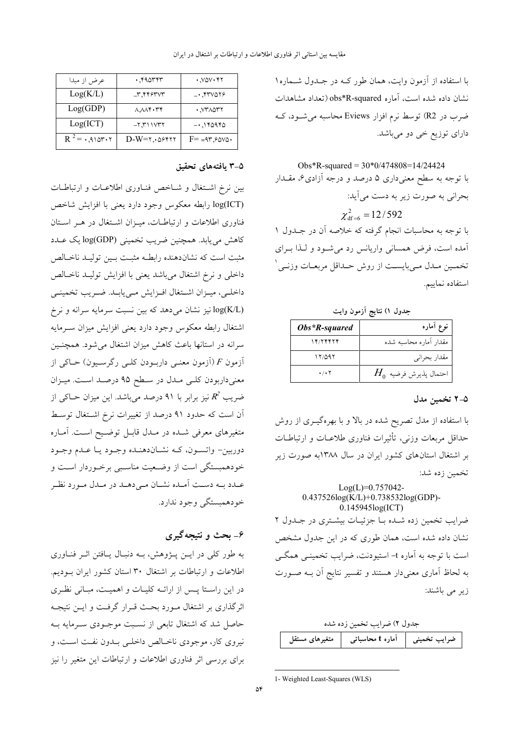با استفاده از آزمون وایت، همان طور کـه در جـدول شـماره١ نشان داده شده است، آماره obs\*R-squared (تعداد مشاهدات ضرب در R2) توسط نرم افزار Eviews محاسبه می شـود، کـه دارای توزیع خی دو میباشد.

Obs\*R-squared =  $30*0/474808=14/24424$ با توجه به سطح معنیداری ۵ درصد و درجه آزادی۶، مقــدار بحراني به صورت زير به دست مي آيد:  $\chi^2_{\text{df}-6}$  = 12/592 با توجه به محاسبات انجام گرفته که خلاصه آن در جــدول ۱ آمده است، فرض همسانی واریانس رد می شود و لـذا بـرای تخمـين مـدل مـيبايسـت از روش حـداقل مربعـات وزنـي ْ استفاده نماییم.

| جدول ۱) نتایج آزمون وایت |  |  |
|--------------------------|--|--|
|                          |  |  |

| $Obs*R-squared$           | نوع أماره                |
|---------------------------|--------------------------|
| 14/14414                  | مقدار آماره محاسبه شده   |
| 12/092                    | مقدار بحراني             |
| $\cdot$ / $\cdot$ $\cdot$ | $H_0$ احتمال پذيرش فرضيه |

#### ۵-۲ تخمین مدل

با استفاده از مدل تصریح شده در بالا و با بهرهگیـری از روش حداقل مربعات وزنبي، تأثيرات فناوري طلاعــات و ارتباطــات بر اشتغال استانهای کشور ایران در سال ۱۳۸۸به صورت زیر تخمين زده شد:

#### $Log(L)=0.757042 0.437526\log(K/L) + 0.738532\log(GDP)$ -0.145945log(ICT) ضرایب تخمین زده شده با جزئیات بیشتری در جدول ٢

نشان داده شده است، همان طوری که در این جدول مشخص است با توجه به آماره t- استیودنت، ضرایب تخمینــی همگــی به لحاظ آماری معنی دار هستند و تفسیر نتایج آن بـه صـورت زیر می باشند:

| جدول ٢) ضرايب تخمين زده شده |                                                  |  |
|-----------------------------|--------------------------------------------------|--|
|                             | ضرایب تخمینی   آماره t محاسباتی   متغیرهای مستقل |  |

| 1- Weighted Least-Squares (WLS) |  |  |
|---------------------------------|--|--|

| عرض از مبدا            | $\cdot$ , $40$                                                                 | $\cdot$ , $V\vartriangle V\cdot Y$ |
|------------------------|--------------------------------------------------------------------------------|------------------------------------|
| Log(K/L)               | $-\mathsf{r}$ , $\mathsf{r}\mathsf{r}\mathsf{s}\mathsf{r}\mathsf{v}\mathsf{r}$ | $-$ . $550079$                     |
| Log(GDP)               | $\Lambda \Lambda \Lambda$ ۴۰۳۴                                                 | . VYADYY                           |
| Log(ICT)               | $-7,711V77$                                                                    | $-0.140940$                        |
| $R^2 = 1.910r \cdot r$ | $D-W=r, \omega$ ۶۴۲۲                                                           | $F = -4r,60V$                      |

#### ۵–۳ یافتههای تحقیق

بین نرخ اشتغال و شاخص فناوری اطلاعات و ارتباطات log(ICT) رابطه معكوس وجود دارد يعني با افزايش شاخص فناوری اطلاعات و ارتباطـات، میـزان اشـتغال در هـر اسـتان كاهش مي يابد. همچنين ضريب تخميني (log(GDP يک عــدد مثبت است كه نشاندهنده رابطـه مثبـت بـين توليـد ناخـالص داخلي و نرخ اشتغال ميباشد يعني با افزايش توليـد ناخـالص داخلـي، ميـزان اشـتغال افـزايش مـييابـد. ضـريب تخمينـي log(K/L) نیز نشان میدهد که بین نسبت سرمایه سرانه و نرخ اشتغال رابطه معكوس وجود دارد يعنى افزايش ميزان سـرمايه سرانه در استانها باعث کاهش میزان اشتغال می شود. همچنـین  $\vec{F}$  آزمون  $F$  (آزمون معنــی داربــودن کلــی رگرســیون) حــاکی از معنى داربودن كلـى مـدل در سـطح ۹۵ درصـد اسـت. ميـزان ضریب  $R^2$  نیز برابر با ۹۱ درصد میباشد. این میزان حــاکی از آن است که حدود ۹۱ درصد از تغییرات نرخ اشـتغال توسـط متغیرهای معرفی شـده در مـدل قابـل توضـیح اسـت. آمـاره دوربين- واتسـون، كـه نشـاندهنـده وجـود يـا عـدم وجـود خودهمبستگی است از وضعیت مناسبی برخـوردار اسـت و عـدد بــه دســت اَمـده نشـان مــىدهــد در مـدل مــورد نظـر خودهمېستگي وجود ندارد.

# ۶- بحث و نتیجهگیری

به طور کلی در ایـن پـژوهش، بـه دنبـال پـافتن اثـر فنـاوری اطلاعات و ارتباطات بر اشتغال ۳۰ استان کشور ایران بــودیم. در این راستا پس از ارائـه کلیـات و اهمیـت، مبـانی نظـری اثرگذاری بر اشتغال مـورد بحـث قـرار گرفـت و ايـن نتيجـه حاصل شد که اشتغال تابعی از نسـبت موجـودی سـرمایه بــه نیروی کار، موجودی ناخـالص داخلـی بـدون نفـت اسـت، و برای بررسی اثر فناوری اطلاعات و ارتباطات این متغیر را نیز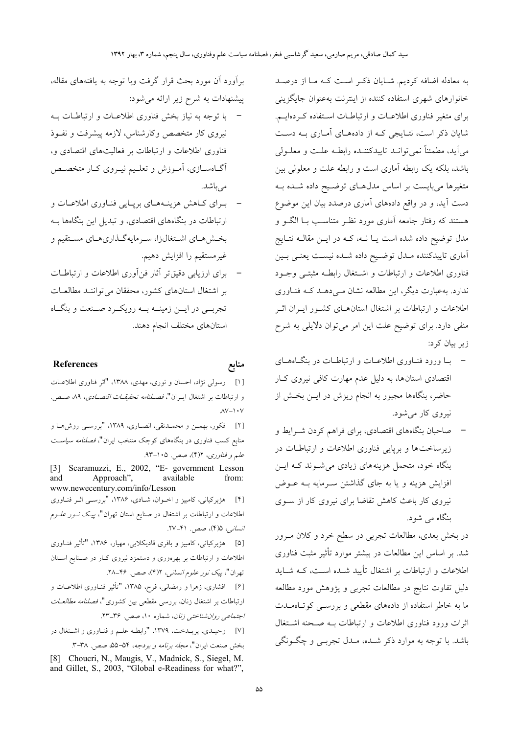به معادله اضافه کردیم. شـایان ذکـر اسـت کـه مـا از درصـد خانوارهای شهری استفاده کننده از اینترنت بهعنوان جایگزینی برای متغیر فناوری اطلاعیات و ارتباطیات استفاده که دهایت. شایان ذکر است، نتـایجی کـه از دادههـای آمـاری بــه دســت مي آيد، مطمئناً نمي توانــد تاييدكننــده رابطــه علــت و معلــولي باشد، بلکه یک رابطه آماری است و رابطه علت و معلولی بین متغیرها می بایست بر اساس مدل هـای توضـیح داده شـده بـه دست آید، و در واقع دادههای آماری درصدد بیان این موضوع هستند که رفتار جامعه آماری مورد نظـر متناسـب بــا الگــو و مدل توضیح داده شده است یـا نــه، کــه در ایــن مقالــه نتــایج اًماری تاییدکننده مــدل توضــیح داده شــده نیسـت یعنــی بــین فناورى اطلاعات و ارتباطات و اشتغال رابطـه مثبتـي وجـود ندارد. بهعبارت دیگر، این مطالعه نشان مے ردهــد کــه فنــاوری اطلاعات و ارتباطات بر اشتغال استان های کشور ایـران اثـر منفی دارد. برای توضیح علت این امر می توان دلایلی به شرح زیر بیان کرد:

- با ورود فنـاوري اطلاعـات و ارتباطـات در بنگـاههـاي اقتصادی استانها، به دلیل عدم مهارت کافی نیروی کبار حاضر، بنگاهها مجبور به انجام ریزش در ایــن بخــش از نیروی کار می شود.
- صاحبان بنگاههای اقتصادی، برای فراهم کردن شـرایط و زیرساختها و برپایی فناوری اطلاعات و ارتباطات در بنگاه خود، متحمل هزینههای زیادی می شـوند کـه ایـن افزایش هزینه و یا به جای گذاشتن سـرمایه بـه عـوض نیروی کار باعث کاهش تقاضا برای نیروی کار از سـوی بنگاه می شود.

در بخش بعدی، مطالعات تجربی در سطح خرد و کلان مـرور شد. بر اساس این مطالعات در بیشتر موارد تأثیر مثبت فناوری اطلاعات و ارتباطات بر اشتغال تأیید شــده اسـت، کــه شــاید دلیل تفاوت نتایج در مطالعات تجربی و پژوهش مورد مطالعه ما به خاطر استفاده از دادههای مقطعی و بررسبی کو تباهمیدت اثرات ورود فناورى اطلاعات و ارتباطات بـه صـحنه اشـتغال باشد. با توجه به موارد ذکر شـده، مـدل تجربــي و چگــونگـي

برآورد آن مورد بحث قرار گرفت وبا توجه به یافتههای مقاله، پیشنهادات به شرح زیر ارائه می شود:

- با توجه به نیاز بخش فناوری اطلاعـات و ارتباطـات بــه نیروی کار متخصص وکارشناس، لازمه پیشرفت و نفـوذ فناوری اطلاعات و ارتباطات بر فعالیتهای اقتصادی و، آگاهسازی، آموزش و تعلیم نیـروی کـار متخصـص مے باشد.
- برای کاهش هزینههای برپایی فناوری اطلاعات و ارتباطات در بنگاههای اقتصادی، و تبدیل این بنگاهها بـه بخشهای اشتغالزا، سرمایهگذاریهای مستقیم و غيرمستقيم را افزايش دهيم.
- برای ارزیابی دقیق تر آثار فن آوری اطلاعات و ارتباطـات بر اشتغال استانهای کشور، محققان می تواننـد مطالعـات تجربسي در ايسن زمينــه بــه رويكــرد صــنعت و بنگــاه استانهای مختلف انجام دهند.

#### References

منابع

[۱] رسولي نژاد، احسان و نوري، مهدي، ١٣٨٨، "اثر فناوري اطلاعـات و ارتباطات بر اشتغال اب ان"، *فصـلنامه تحقيقـات اقتصـادي*، ۸۹ صـص.  $AV - Y + V$ [۲] فكور، بهمـن و محمـدتقى، انصـارى، ١٣٨٩، "بررسـى روش١هـا و منابع کسب فناوری در بنگاههای کوچک منتخب ایران"، *فصلنامه سیاس*ت علم و فناوري، ٢(٢)، صص. ١٠۵-٩٣. [3] Scaramuzzi, E., 2002, "E- government Lesson Approach", and available from: www.newecentury.com/info/Lesson [۴] هژبرکیانی، کامبیز و اخـوان، شـادی، ۱۳۸۶، "بررسـی اثـر فنـاوری اطلاعات و ارتباطات بر اشتغال در صنایع استان تهران"، *پیـک نــور علــوم* انسانی، ۴۵)، صص. ۴۱–۲۷. [۵] هژبرکیانی، کامبیز و باقری قادیکلایی، مهیار، ۱۳۸۶، "تأثیر فنــاوری اطلاعات و ارتباطات بر بهرهوری و دستمزد نیروی کـار در صـنایع اسـتان تهران"، پیک *نور علوم انسانی*، ۲(۴)، صص. ۴۶–۲۸. [۶] افشاری، زهرا و رمضانی، فرح، ۱۳۸۵، "تأثیر فنــاوری اطلاعــات و ارتباطات بر اشتغال زنان، بررسی مقطعی بین کشوری"، *فصلنامه مطالعـات* اجتم*اعی روان شناختی زنان*، شماره ۱۰، صص. ۳۶ـ۲۳. [۷] وحیـدی، پریـدخت، ۱۳۷۹، "رابطـه علـم و فنـاوری و اشـتغال در

بخش صنعت ايران"، *مجله برنامه و بودجه*، ۵۴–۵۵، صص. ٣-٣.

[8] Choucri, N., Maugis, V., Madnick, S., Siegel, M. and Gillet, S., 2003, "Global e-Readiness for what?",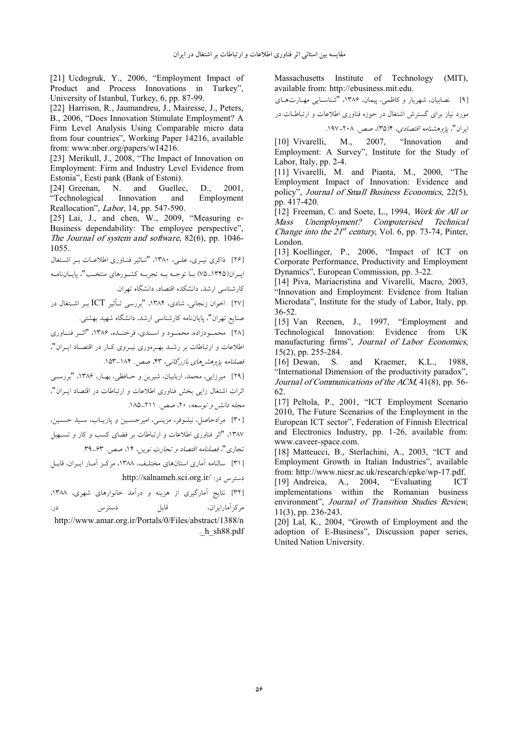[21] Ucdogruk, Y., 2006, "Employment Impact of Product and Process Innovations in Turkey" University of Istanbul, Turkey, 6, pp. 87-99.

[22] Harrison, R., Jaumandreu, J., Mairesse, J., Peters, B., 2006, "Does Innovation Stimulate Employment? A Firm Level Analysis Using Comparable micro data from four countries", Working Paper 14216, available from: www.nber.org/papers/w14216.

[23] Merikull, J., 2008, "The Impact of Innovation on Employment: Firm and Industry Level Evidence from Estonia", Eesti pank (Bank of Estoni).

[24] Greenan.  $N_{\cdot}$ and Guellec.  $D_{\cdot}$ 2001. "Technological Innovation and Employment Reallocation", *Labor*, 14, pp. 547-590.

[25] Lai, J., and chen, W., 2009, "Measuring e-Business dependability: The employee perspective", The Journal of system and software, 82(6), pp. 1046-1055.

[۲۶] ذاکری نیـری، علـی، ۱۳۸۰، "تـاثیر فنـاوری اطلاعـات بـر اشـتغال اب ان(۱۳۴۵–۷۵) سا توجــه سه تجربــه کشــورهای منتخـب"، پاسانiامــه کارشناسی ارشد، دانشکده اقتصاد، دانشگاه تهران.

[۲۷] اخوان زنجانی، شادی، ۱۳۸۴، "بررسی تـأثیر ICT بـر اشــتغال در .<br>صنایع تهران"، پایاننامه کارشناسی ارشد، دانشگاه شهید بهشتی.

[۲۸] محمدودزاده، محمدو د و اسیدی، فرخنیده، ۱۳۸۶، "اثیر فنیاوری اطلاعات و ارتباطات بر رشـد بهـ, هوري نيـ, وي كـار در اقتصـاد ايـ, ان"، فصلنامه پژوهش های بازرگانبی، ۴۳، صص. ۱۸۴-۱۵۳.

[۲۹] میرزایی، محمد، اربابیان، شیرین و حـافظی، بهـار، ۱۳۸۶، "بررســی اثرات اشتغال زایی بخش فناوری اطلاعات و ارتباطات در اقتصاد ایــران"،

مجله دانش و توسعه، ۲۰، صص. ۲۱۱–۱۸۵.

[۳۰] مرادحاصل، نیلوفر، مزینبی، امیرحسین و پاریـاب، سـید حسـین، ۱۳۸۷، "اثر فناوری اطلاعات و ارتباطات بر فضای کسب و کار و تستهیل

[۳۱] سالنامه آماری استانهای مختلف، ۱۳۸۸، مرکـز آمـار ایـران، قابـل دسترس در: //salnameh.sci.org.ir/

[۳۲] نتایج آمارگیری از هزینه و درآمد خانوارهای شهری، ۱۳۸۸،

قابل مركز أمارايران، در: دسترس http://www.amar.org.ir/Portals/0/Files/abstract/1388/n  $h$  sh $88.pdf$  Massachusetts Institute of Technology  $(MIT)$ , available from: http://ebusiness.mit.edu.

نصابیان، شهریار و کاظمی، پیمان، ۱۳۸۶، "شناسـایی مهــارتهــای  $[9]$ .<br>مورد نیاز برای گسترش اشتغال در حوزه فناوری اطلاعات و ارتباطــات در

ایران"، *یژوهشنامه اقتصادی*، ۴(۳۵)، صص. ۲۰۸–۱۹۷.

"Innovation M., 2007. [10] Vivarelli. and Employment: A Survey", Institute for the Study of Labor, Italy, pp. 2-4.

[11] Vivarelli, M. and Pianta, M., 2000, "The Employment Impact of Innovation: Evidence and policy", Journal of Small Business Economics, 22(5), pp. 417-420.

[12] Freeman, C. and Soete, L., 1994, Work for All or Unemployment? Computerised Technical Mass *Change into the*  $21^{st}$  *century*, Vol. 6, pp. 73-74, Pinter, London.

[13] Koellinger, P., 2006, "Impact of ICT on Corporate Performance, Productivity and Employment Dynamics", European Commission, pp. 3-22.

[14] Piva, Mariacristina and Vivarelli, Macro, 2003, "Innovation and Employment: Evidence from Italian Microdata", Institute for the study of Labor, Italy, pp.  $36 - 52$ 

[15] Van Reenen, J., 1997, "Employment and Technological Innovation: Evidence from **I** IK manufacturing firms", Journal of Labor Economics,  $15(2)$ , pp. 255-284.

 $[16]$  Dewan, S. and Kraemer, K.L., 1988. "International Dimension of the productivity paradox", Journal of Communications of the ACM, 41(8), pp. 56-62.

[17] Peltola, P., 2001, "ICT Employment Scenario 2010, The Future Scenarios of the Employment in the European ICT sector", Federation of Finnish Electrical and Electronics Industry, pp. 1-26, available from: www.caveer-space.com.

[18] Matteucci, B., Sterlachini, A., 2003, "ICT and Employment Growth in Italian Industries", available from: http://www.niesr.ac.uk/research/epke/wp-17.pdf. A., 2004, "Evaluating [19] Andreica, **ICT** implementations within the Romanian business environment". Journal of Transition Studies Review. 11(3), pp. 236-243.

[20] Lal, K., 2004, "Growth of Employment and the adoption of E-Business", Discussion paper series, United Nation University.